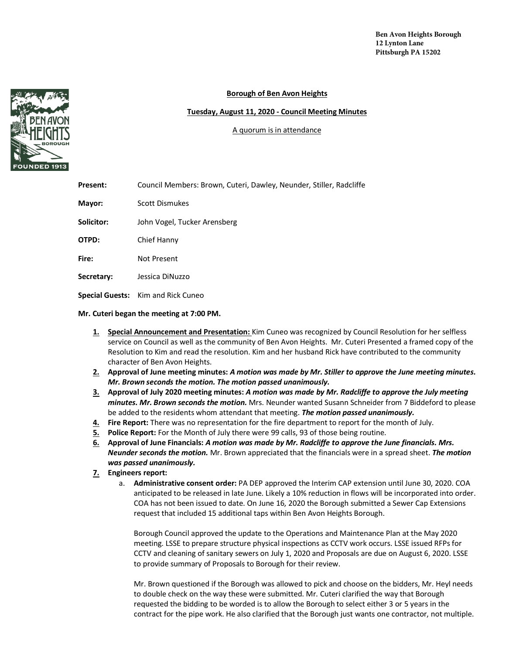## **Borough of Ben Avon Heights**

## **Tuesday, August 11, 2020 - Council Meeting Minutes**

## A quorum is in attendance

| Present:   | Council Members: Brown, Cuteri, Dawley, Neunder, Stiller, Radcliffe |
|------------|---------------------------------------------------------------------|
| Mayor:     | Scott Dismukes                                                      |
| Solicitor: | John Vogel, Tucker Arensberg                                        |
| OTPD:      | Chief Hanny                                                         |
| Fire:      | Not Present                                                         |
| Secretary: | Jessica DiNuzzo                                                     |
|            | <b>Special Guests:</b> Kim and Rick Cuneo                           |

**Mr. Cuteri began the meeting at 7:00 PM.** 

- **1. Special Announcement and Presentation:** Kim Cuneo was recognized by Council Resolution for her selfless service on Council as well as the community of Ben Avon Heights. Mr. Cuteri Presented a framed copy of the Resolution to Kim and read the resolution. Kim and her husband Rick have contributed to the community character of Ben Avon Heights.
- **2. Approval of June meeting minutes:** *A motion was made by Mr. Stiller to approve the June meeting minutes. Mr. Brown seconds the motion. The motion passed unanimously.*
- **3. Approval of July 2020 meeting minutes:** *A motion was made by Mr. Radcliffe to approve the July meeting minutes. Mr. Brown seconds the motion.* Mrs. Neunder wanted Susann Schneider from 7 Biddeford to please be added to the residents whom attendant that meeting. *The motion passed unanimously.*
- **4. Fire Report:** There was no representation for the fire department to report for the month of July.
- **5. Police Report:** For the Month of July there were 99 calls, 93 of those being routine.
- **6. Approval of June Financials:** *A motion was made by Mr. Radcliffe to approve the June financials. Mrs. Neunder seconds the motion.* Mr. Brown appreciated that the financials were in a spread sheet. *The motion was passed unanimously.*
- **7. Engineers report:**
	- a. **Administrative consent order:** PA DEP approved the Interim CAP extension until June 30, 2020. COA anticipated to be released in late June. Likely a 10% reduction in flows will be incorporated into order. COA has not been issued to date. On June 16, 2020 the Borough submitted a Sewer Cap Extensions request that included 15 additional taps within Ben Avon Heights Borough.

Borough Council approved the update to the Operations and Maintenance Plan at the May 2020 meeting. LSSE to prepare structure physical inspections as CCTV work occurs. LSSE issued RFPs for CCTV and cleaning of sanitary sewers on July 1, 2020 and Proposals are due on August 6, 2020. LSSE to provide summary of Proposals to Borough for their review.

Mr. Brown questioned if the Borough was allowed to pick and choose on the bidders, Mr. Heyl needs to double check on the way these were submitted. Mr. Cuteri clarified the way that Borough requested the bidding to be worded is to allow the Borough to select either 3 or 5 years in the contract for the pipe work. He also clarified that the Borough just wants one contractor, not multiple.